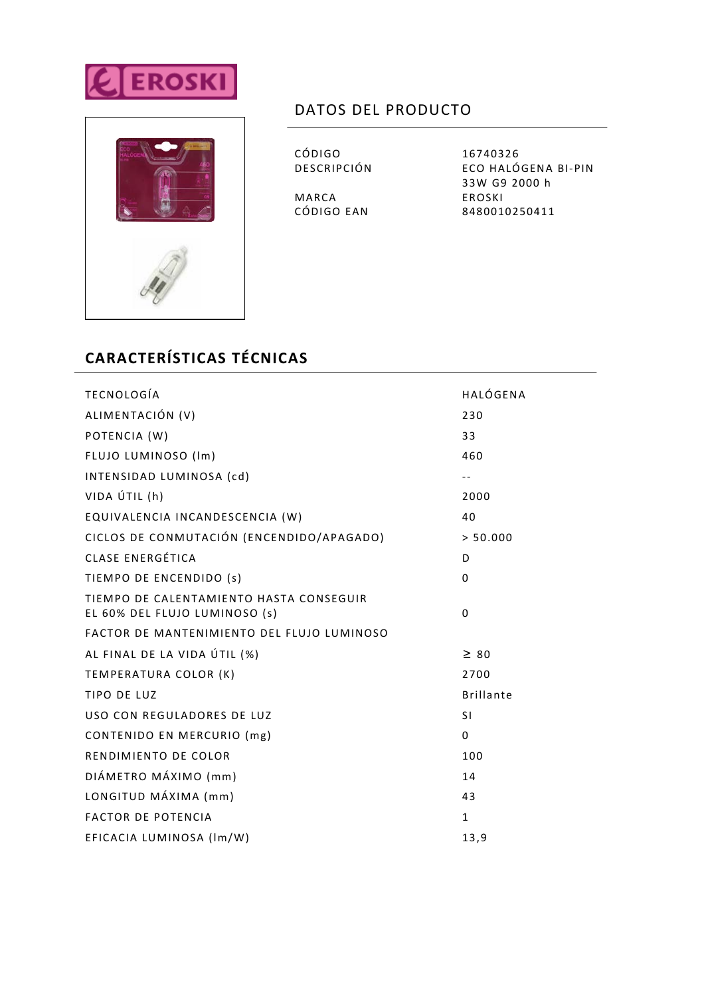



## DATOS DEL PRODUCTO

CÓDIGO 16740326<br>DESCRIPCIÓN ECO HALÓ

MARCA EROSKI<br>CÓDIGO EAN 8480010

ECO HALÓGENA BI-PIN 33W G9 2000 h 8480010250411

## **CARACTERÍSTICAS TÉCNICAS**

| <b>TECNOLOGÍA</b>                                                        | HALÓGENA         |
|--------------------------------------------------------------------------|------------------|
| ALIMENTACIÓN (V)                                                         | 230              |
| POTENCIA (W)                                                             | 33               |
| FLUJO LUMINOSO (Im)                                                      | 460              |
| INTENSIDAD LUMINOSA (cd)                                                 | $- -$            |
| VIDA ÚTIL (h)                                                            | 2000             |
| EQUIVALENCIA INCANDESCENCIA (W)                                          | 40               |
| CICLOS DE CONMUTACIÓN (ENCENDIDO/APAGADO)                                | > 50.000         |
| CLASE ENERGÉTICA                                                         | D                |
| TIEMPO DE ENCENDIDO (s)                                                  | $\Omega$         |
| TIEMPO DE CALENTAMIENTO HASTA CONSEGUIR<br>EL 60% DEL FLUJO LUMINOSO (s) | 0                |
| FACTOR DE MANTENIMIENTO DEL FLUJO LUMINOSO                               |                  |
| AL FINAL DE LA VIDA ÚTIL (%)                                             | $\geq 80$        |
| TEMPERATURA COLOR (K)                                                    | 2700             |
| TIPO DE LUZ                                                              | <b>Brillante</b> |
| USO CON REGULADORES DE LUZ                                               | <b>SI</b>        |
| CONTENIDO EN MERCURIO (mg)                                               | $\Omega$         |
| RENDIMIENTO DE COLOR                                                     | 100              |
| DIÁMETRO MÁXIMO (mm)                                                     | 14               |
| LONGITUD MÁXIMA (mm)                                                     | 43               |
| <b>FACTOR DE POTENCIA</b>                                                | $\mathbf{1}$     |
| EFICACIA LUMINOSA (Im/W)                                                 | 13,9             |